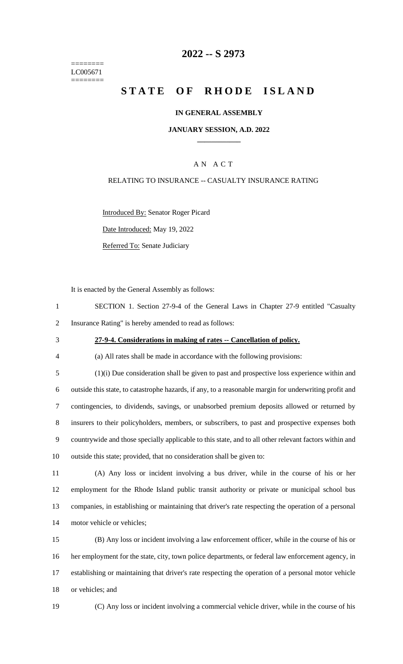======== LC005671 ========

## **2022 -- S 2973**

# **STATE OF RHODE ISLAND**

#### **IN GENERAL ASSEMBLY**

#### **JANUARY SESSION, A.D. 2022 \_\_\_\_\_\_\_\_\_\_\_\_**

## A N A C T

#### RELATING TO INSURANCE -- CASUALTY INSURANCE RATING

Introduced By: Senator Roger Picard

Date Introduced: May 19, 2022

Referred To: Senate Judiciary

It is enacted by the General Assembly as follows:

| SECTION 1. Section 27-9-4 of the General Laws in Chapter 27-9 entitled "Casualty" |
|-----------------------------------------------------------------------------------|
| Insurance Rating" is hereby amended to read as follows:                           |

### 3 **27-9-4. Considerations in making of rates -- Cancellation of policy.**

4 (a) All rates shall be made in accordance with the following provisions:

 (1)(i) Due consideration shall be given to past and prospective loss experience within and outside this state, to catastrophe hazards, if any, to a reasonable margin for underwriting profit and contingencies, to dividends, savings, or unabsorbed premium deposits allowed or returned by insurers to their policyholders, members, or subscribers, to past and prospective expenses both countrywide and those specially applicable to this state, and to all other relevant factors within and outside this state; provided, that no consideration shall be given to:

 (A) Any loss or incident involving a bus driver, while in the course of his or her employment for the Rhode Island public transit authority or private or municipal school bus companies, in establishing or maintaining that driver's rate respecting the operation of a personal 14 motor vehicle or vehicles;

 (B) Any loss or incident involving a law enforcement officer, while in the course of his or her employment for the state, city, town police departments, or federal law enforcement agency, in establishing or maintaining that driver's rate respecting the operation of a personal motor vehicle or vehicles; and

19 (C) Any loss or incident involving a commercial vehicle driver, while in the course of his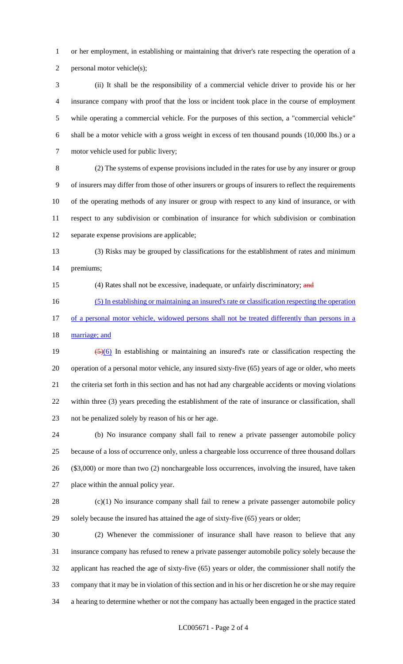or her employment, in establishing or maintaining that driver's rate respecting the operation of a personal motor vehicle(s);

 (ii) It shall be the responsibility of a commercial vehicle driver to provide his or her insurance company with proof that the loss or incident took place in the course of employment while operating a commercial vehicle. For the purposes of this section, a "commercial vehicle" shall be a motor vehicle with a gross weight in excess of ten thousand pounds (10,000 lbs.) or a motor vehicle used for public livery;

 (2) The systems of expense provisions included in the rates for use by any insurer or group of insurers may differ from those of other insurers or groups of insurers to reflect the requirements of the operating methods of any insurer or group with respect to any kind of insurance, or with respect to any subdivision or combination of insurance for which subdivision or combination separate expense provisions are applicable;

 (3) Risks may be grouped by classifications for the establishment of rates and minimum premiums;

15 (4) Rates shall not be excessive, inadequate, or unfairly discriminatory; and

(5) In establishing or maintaining an insured's rate or classification respecting the operation

17 of a personal motor vehicle, widowed persons shall not be treated differently than persons in a 18 marriage; and

 (5)(6) In establishing or maintaining an insured's rate or classification respecting the operation of a personal motor vehicle, any insured sixty-five (65) years of age or older, who meets the criteria set forth in this section and has not had any chargeable accidents or moving violations within three (3) years preceding the establishment of the rate of insurance or classification, shall not be penalized solely by reason of his or her age.

 (b) No insurance company shall fail to renew a private passenger automobile policy because of a loss of occurrence only, unless a chargeable loss occurrence of three thousand dollars (\$3,000) or more than two (2) nonchargeable loss occurrences, involving the insured, have taken place within the annual policy year.

 (c)(1) No insurance company shall fail to renew a private passenger automobile policy solely because the insured has attained the age of sixty-five (65) years or older;

 (2) Whenever the commissioner of insurance shall have reason to believe that any insurance company has refused to renew a private passenger automobile policy solely because the applicant has reached the age of sixty-five (65) years or older, the commissioner shall notify the company that it may be in violation of this section and in his or her discretion he or she may require a hearing to determine whether or not the company has actually been engaged in the practice stated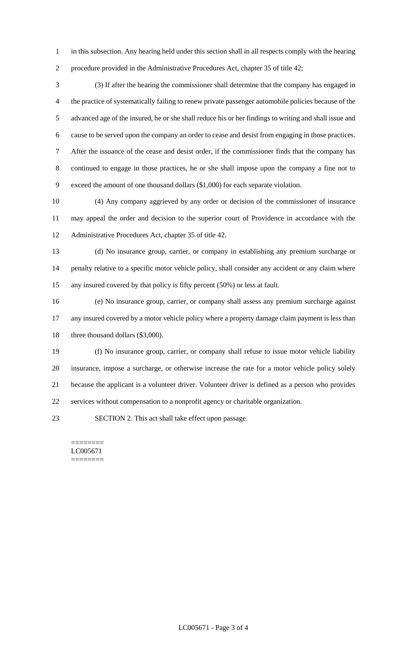in this subsection. Any hearing held under this section shall in all respects comply with the hearing procedure provided in the Administrative Procedures Act, chapter 35 of title 42;

 (3) If after the hearing the commissioner shall determine that the company has engaged in the practice of systematically failing to renew private passenger automobile policies because of the advanced age of the insured, he or she shall reduce his or her findings to writing and shall issue and cause to be served upon the company an order to cease and desist from engaging in those practices. After the issuance of the cease and desist order, if the commissioner finds that the company has continued to engage in those practices, he or she shall impose upon the company a fine not to exceed the amount of one thousand dollars (\$1,000) for each separate violation.

 (4) Any company aggrieved by any order or decision of the commissioner of insurance may appeal the order and decision to the superior court of Providence in accordance with the Administrative Procedures Act, chapter 35 of title 42.

 (d) No insurance group, carrier, or company in establishing any premium surcharge or penalty relative to a specific motor vehicle policy, shall consider any accident or any claim where any insured covered by that policy is fifty percent (50%) or less at fault.

 (e) No insurance group, carrier, or company shall assess any premium surcharge against 17 any insured covered by a motor vehicle policy where a property damage claim payment is less than 18 three thousand dollars (\$3,000).

 (f) No insurance group, carrier, or company shall refuse to issue motor vehicle liability insurance, impose a surcharge, or otherwise increase the rate for a motor vehicle policy solely because the applicant is a volunteer driver. Volunteer driver is defined as a person who provides services without compensation to a nonprofit agency or charitable organization.

SECTION 2. This act shall take effect upon passage.

======== LC005671 ========

LC005671 - Page 3 of 4